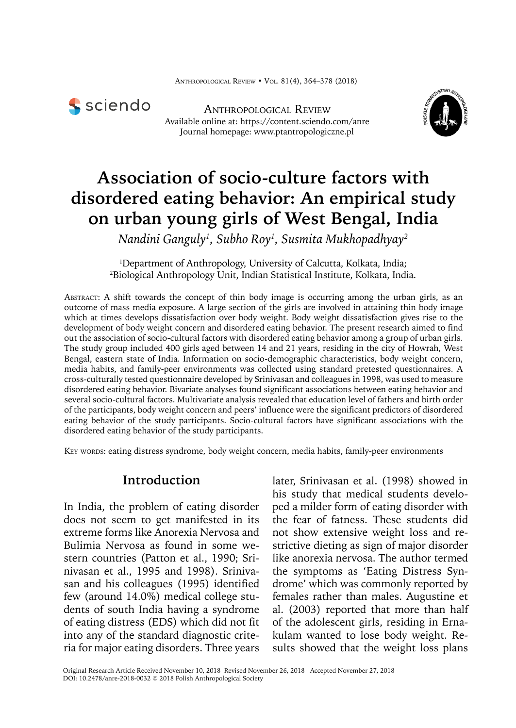

Anthropological Review Available online at: https://content.sciendo.com/anre Journal homepage: www.ptantropologiczne.pl



# **Association of socio-culture factors with disordered eating behavior: An empirical study on urban young girls of West Bengal, India**

*Nandini Ganguly1 , Subho Roy1 , Susmita Mukhopadhyay2*

1 Department of Anthropology, University of Calcutta, Kolkata, India; 2 <sup>2</sup>Biological Anthropology Unit, Indian Statistical Institute, Kolkata, India.

Abstract: A shift towards the concept of thin body image is occurring among the urban girls, as an outcome of mass media exposure. A large section of the girls are involved in attaining thin body image which at times develops dissatisfaction over body weight. Body weight dissatisfaction gives rise to the development of body weight concern and disordered eating behavior. The present research aimed to find out the association of socio-cultural factors with disordered eating behavior among a group of urban girls. The study group included 400 girls aged between 14 and 21 years, residing in the city of Howrah, West Bengal, eastern state of India. Information on socio-demographic characteristics, body weight concern, media habits, and family-peer environments was collected using standard pretested questionnaires. A cross-culturally tested questionnaire developed by Srinivasan and colleagues in 1998, was used to measure disordered eating behavior. Bivariate analyses found significant associations between eating behavior and several socio-cultural factors. Multivariate analysis revealed that education level of fathers and birth order of the participants, body weight concern and peers' influence were the significant predictors of disordered eating behavior of the study participants. Socio-cultural factors have significant associations with the disordered eating behavior of the study participants.

KEY WORDS: eating distress syndrome, body weight concern, media habits, family-peer environments

## **Introduction**

In India, the problem of eating disorder does not seem to get manifested in its extreme forms like Anorexia Nervosa and Bulimia Nervosa as found in some western countries (Patton et al., 1990; Srinivasan et al., 1995 and 1998). Srinivasan and his colleagues (1995) identified few (around 14.0%) medical college students of south India having a syndrome of eating distress (EDS) which did not fit into any of the standard diagnostic criteria for major eating disorders. Three years

later, Srinivasan et al. (1998) showed in his study that medical students developed a milder form of eating disorder with the fear of fatness. These students did not show extensive weight loss and restrictive dieting as sign of major disorder like anorexia nervosa. The author termed the symptoms as 'Eating Distress Syndrome' which was commonly reported by females rather than males. Augustine et al. (2003) reported that more than half of the adolescent girls, residing in Ernakulam wanted to lose body weight. Results showed that the weight loss plans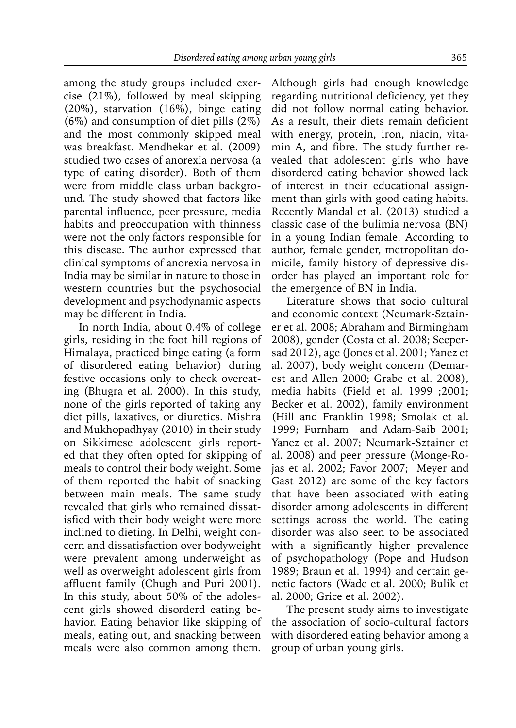among the study groups included exercise (21%), followed by meal skipping (20%), starvation (16%), binge eating (6%) and consumption of diet pills (2%) and the most commonly skipped meal was breakfast. Mendhekar et al. (2009) studied two cases of anorexia nervosa (a type of eating disorder). Both of them were from middle class urban background. The study showed that factors like parental influence, peer pressure, media habits and preoccupation with thinness were not the only factors responsible for this disease. The author expressed that clinical symptoms of anorexia nervosa in India may be similar in nature to those in western countries but the psychosocial development and psychodynamic aspects may be different in India.

In north India, about 0.4% of college girls, residing in the foot hill regions of Himalaya, practiced binge eating (a form of disordered eating behavior) during festive occasions only to check overeating (Bhugra et al. 2000). In this study, none of the girls reported of taking any diet pills, laxatives, or diuretics. Mishra and Mukhopadhyay (2010) in their study on Sikkimese adolescent girls reported that they often opted for skipping of meals to control their body weight. Some of them reported the habit of snacking between main meals. The same study revealed that girls who remained dissatisfied with their body weight were more inclined to dieting. In Delhi, weight concern and dissatisfaction over bodyweight were prevalent among underweight as well as overweight adolescent girls from affluent family (Chugh and Puri 2001). In this study, about 50% of the adolescent girls showed disorderd eating behavior. Eating behavior like skipping of meals, eating out, and snacking between meals were also common among them.

Although girls had enough knowledge regarding nutritional deficiency, yet they did not follow normal eating behavior. As a result, their diets remain deficient with energy, protein, iron, niacin, vitamin A, and fibre. The study further revealed that adolescent girls who have disordered eating behavior showed lack of interest in their educational assignment than girls with good eating habits. Recently Mandal et al. (2013) studied a classic case of the bulimia nervosa (BN) in a young Indian female. According to author, female gender, metropolitan domicile, family history of depressive disorder has played an important role for the emergence of BN in India.

Literature shows that socio cultural and economic context (Neumark-Sztainer et al. 2008; Abraham and Birmingham 2008), gender (Costa et al. 2008; Seepersad 2012), age (Jones et al. 2001; Yanez et al. 2007), body weight concern (Demarest and Allen 2000; Grabe et al. 2008), media habits (Field et al. 1999 ;2001; Becker et al. 2002), family environment (Hill and Franklin 1998; Smolak et al. 1999; Furnham and Adam-Saib 2001; Yanez et al. 2007; Neumark-Sztainer et al. 2008) and peer pressure (Monge-Rojas et al. 2002; Favor 2007; Meyer and Gast 2012) are some of the key factors that have been associated with eating disorder among adolescents in different settings across the world. The eating disorder was also seen to be associated with a significantly higher prevalence of psychopathology (Pope and Hudson 1989; Braun et al. 1994) and certain genetic factors (Wade et al. 2000; Bulik et al. 2000; Grice et al. 2002).

The present study aims to investigate the association of socio-cultural factors with disordered eating behavior among a group of urban young girls.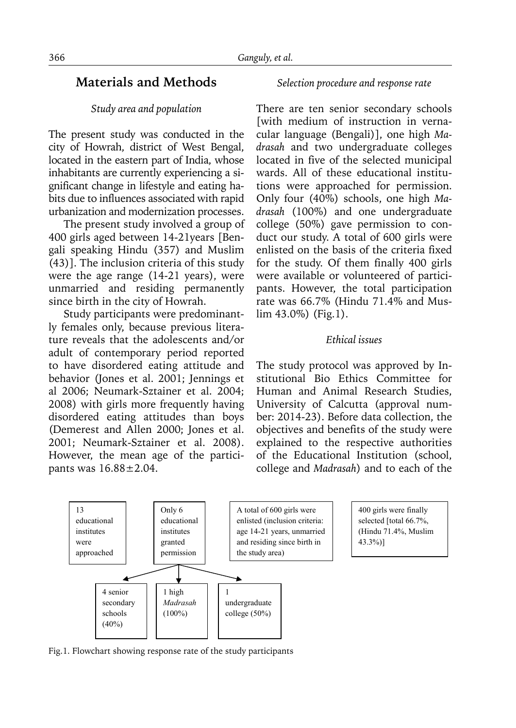# **Materials and Methods**

#### *Study area and population*

The present study was conducted in the city of Howrah, district of West Bengal, located in the eastern part of India, whose inhabitants are currently experiencing a significant change in lifestyle and eating habits due to influences associated with rapid urbanization and modernization processes.

The present study involved a group of 400 girls aged between 14-21years [Bengali speaking Hindu (357) and Muslim (43)]. The inclusion criteria of this study were the age range (14-21 years), were unmarried and residing permanently since birth in the city of Howrah.

Study participants were predominantly females only, because previous literature reveals that the adolescents and/or adult of contemporary period reported to have disordered eating attitude and behavior (Jones et al. 2001; Jennings et al 2006; Neumark-Sztainer et al. 2004; 2008) with girls more frequently having disordered eating attitudes than boys (Demerest and Allen 2000; Jones et al. 2001; Neumark-Sztainer et al. 2008). However, the mean age of the participants was 16.88±2.04.

#### *Selection procedure and response rate*

There are ten senior secondary schools [with medium of instruction in vernacular language (Bengali)], one high *Madrasah* and two undergraduate colleges located in five of the selected municipal wards. All of these educational institutions were approached for permission. Only four (40%) schools, one high *Madrasah* (100%) and one undergraduate college (50%) gave permission to conduct our study. A total of 600 girls were enlisted on the basis of the criteria fixed for the study. Of them finally 400 girls were available or volunteered of participants. However, the total participation rate was 66.7% (Hindu 71.4% and Muslim 43.0%) (Fig.1).

#### *Ethical issues*

The study protocol was approved by Institutional Bio Ethics Committee for Human and Animal Research Studies, University of Calcutta (approval number: 2014-23). Before data collection, the objectives and benefits of the study were explained to the respective authorities of the Educational Institution (school, college and *Madrasah*) and to each of the



400 girls were finally selected [total 66.7%, (Hindu 71.4%, Muslim 43.3%)]

Fig.1. Flowchart showing response rate of the study participants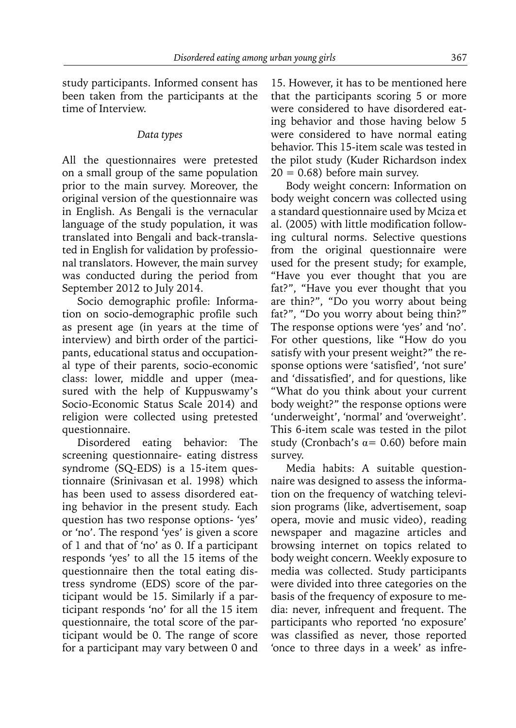study participants. Informed consent has been taken from the participants at the time of Interview.

#### *Data types*

All the questionnaires were pretested on a small group of the same population prior to the main survey. Moreover, the original version of the questionnaire was in English. As Bengali is the vernacular language of the study population, it was translated into Bengali and back-translated in English for validation by professional translators. However, the main survey was conducted during the period from September 2012 to July 2014.

Socio demographic profile: Information on socio-demographic profile such as present age (in years at the time of interview) and birth order of the participants, educational status and occupational type of their parents, socio-economic class: lower, middle and upper (measured with the help of Kuppuswamy's Socio-Economic Status Scale 2014) and religion were collected using pretested questionnaire.

Disordered eating behavior: The screening questionnaire- eating distress syndrome (SQ-EDS) is a 15-item questionnaire (Srinivasan et al. 1998) which has been used to assess disordered eating behavior in the present study. Each question has two response options- 'yes' or 'no'. The respond 'yes' is given a score of 1 and that of 'no' as 0. If a participant responds 'yes' to all the 15 items of the questionnaire then the total eating distress syndrome (EDS) score of the participant would be 15. Similarly if a participant responds 'no' for all the 15 item questionnaire, the total score of the participant would be 0. The range of score for a participant may vary between 0 and

15. However, it has to be mentioned here that the participants scoring 5 or more were considered to have disordered eating behavior and those having below 5 were considered to have normal eating behavior. This 15-item scale was tested in the pilot study (Kuder Richardson index  $20 = 0.68$ ) before main survey.

Body weight concern: Information on body weight concern was collected using a standard questionnaire used by Mciza et al. (2005) with little modification following cultural norms. Selective questions from the original questionnaire were used for the present study; for example, "Have you ever thought that you are fat?", "Have you ever thought that you are thin?", "Do you worry about being fat?", "Do you worry about being thin?" The response options were 'yes' and 'no'. For other questions, like "How do you satisfy with your present weight?" the response options were 'satisfied', 'not sure' and 'dissatisfied', and for questions, like "What do you think about your current body weight?" the response options were 'underweight', 'normal' and 'overweight'. This 6-item scale was tested in the pilot study (Cronbach's  $\alpha$  = 0.60) before main survey.

Media habits: A suitable questionnaire was designed to assess the information on the frequency of watching television programs (like, advertisement, soap opera, movie and music video), reading newspaper and magazine articles and browsing internet on topics related to body weight concern. Weekly exposure to media was collected. Study participants were divided into three categories on the basis of the frequency of exposure to media: never, infrequent and frequent. The participants who reported 'no exposure' was classified as never, those reported 'once to three days in a week' as infre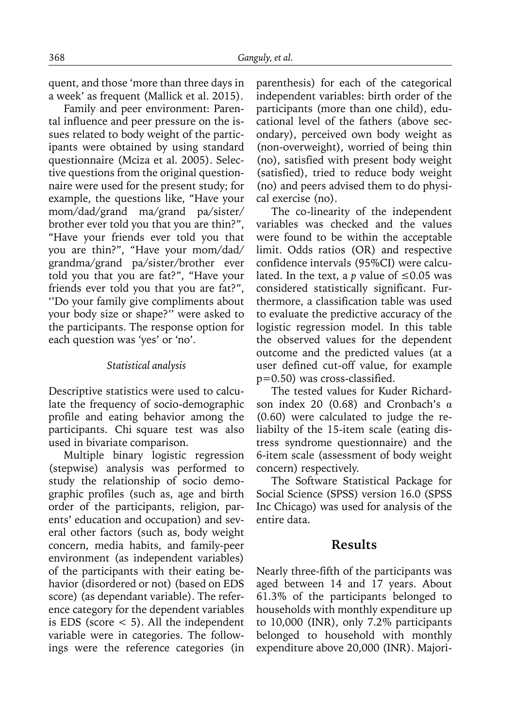quent, and those 'more than three days in a week' as frequent (Mallick et al. 2015).

Family and peer environment: Parental influence and peer pressure on the issues related to body weight of the participants were obtained by using standard questionnaire (Mciza et al. 2005). Selective questions from the original questionnaire were used for the present study; for example, the questions like, "Have your mom/dad/grand ma/grand pa/sister/ brother ever told you that you are thin?", "Have your friends ever told you that you are thin?", "Have your mom/dad/ grandma/grand pa/sister/brother ever told you that you are fat?", "Have your friends ever told you that you are fat?", ''Do your family give compliments about your body size or shape?'' were asked to the participants. The response option for each question was 'yes' or 'no'.

#### *Statistical analysis*

Descriptive statistics were used to calculate the frequency of socio-demographic profile and eating behavior among the participants. Chi square test was also used in bivariate comparison.

Multiple binary logistic regression (stepwise) analysis was performed to study the relationship of socio demographic profiles (such as, age and birth order of the participants, religion, parents' education and occupation) and several other factors (such as, body weight concern, media habits, and family-peer environment (as independent variables) of the participants with their eating behavior (disordered or not) (based on EDS score) (as dependant variable). The reference category for the dependent variables is EDS (score  $<$  5). All the independent variable were in categories. The followings were the reference categories (in

parenthesis) for each of the categorical independent variables: birth order of the participants (more than one child), educational level of the fathers (above secondary), perceived own body weight as (non-overweight), worried of being thin (no), satisfied with present body weight (satisfied), tried to reduce body weight (no) and peers advised them to do physical exercise (no).

The co-linearity of the independent variables was checked and the values were found to be within the acceptable limit. Odds ratios (OR) and respective confidence intervals (95%CI) were calculated. In the text, a *p* value of ≤0.05 was considered statistically significant. Furthermore, a classification table was used to evaluate the predictive accuracy of the logistic regression model. In this table the observed values for the dependent outcome and the predicted values (at a user defined cut-off value, for example p=0.50) was cross-classified.

The tested values for Kuder Richardson index 20 (0.68) and Cronbach's α (0.60) were calculated to judge the reliabilty of the 15-item scale (eating distress syndrome questionnaire) and the 6-item scale (assessment of body weight concern) respectively.

The Software Statistical Package for Social Science (SPSS) version 16.0 (SPSS Inc Chicago) was used for analysis of the entire data.

#### **Results**

Nearly three-fifth of the participants was aged between 14 and 17 years. About 61.3% of the participants belonged to households with monthly expenditure up to 10,000 (INR), only 7.2% participants belonged to household with monthly expenditure above 20,000 (INR). Majori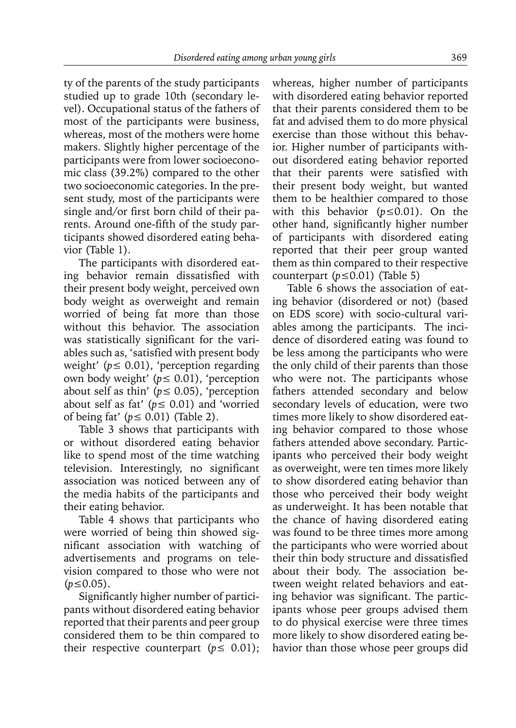ty of the parents of the study participants studied up to grade 10th (secondary level). Occupational status of the fathers of most of the participants were business, whereas, most of the mothers were home makers. Slightly higher percentage of the participants were from lower socioeconomic class (39.2%) compared to the other two socioeconomic categories. In the present study, most of the participants were single and/or first born child of their parents. Around one-fifth of the study participants showed disordered eating behavior (Table 1).

The participants with disordered eating behavior remain dissatisfied with their present body weight, perceived own body weight as overweight and remain worried of being fat more than those without this behavior. The association was statistically significant for the variables such as, 'satisfied with present body weight' (*p*≤ 0.01), 'perception regarding own body weight' (*p*≤ 0.01), 'perception about self as thin' ( $p \le 0.05$ ), 'perception about self as fat' (*p*≤ 0.01) and 'worried of being fat' (*p*≤ 0.01) (Table 2).

Table 3 shows that participants with or without disordered eating behavior like to spend most of the time watching television. Interestingly, no significant association was noticed between any of the media habits of the participants and their eating behavior.

Table 4 shows that participants who were worried of being thin showed significant association with watching of advertisements and programs on television compared to those who were not (*p*≤0.05).

Significantly higher number of participants without disordered eating behavior reported that their parents and peer group considered them to be thin compared to their respective counterpart ( $p \leq 0.01$ ); whereas, higher number of participants with disordered eating behavior reported that their parents considered them to be fat and advised them to do more physical exercise than those without this behavior. Higher number of participants without disordered eating behavior reported that their parents were satisfied with their present body weight, but wanted them to be healthier compared to those with this behavior (*p*≤0.01). On the other hand, significantly higher number of participants with disordered eating reported that their peer group wanted them as thin compared to their respective counterpart (*p*≤0.01) (Table 5)

Table 6 shows the association of eating behavior (disordered or not) (based on EDS score) with socio-cultural variables among the participants. The incidence of disordered eating was found to be less among the participants who were the only child of their parents than those who were not. The participants whose fathers attended secondary and below secondary levels of education, were two times more likely to show disordered eating behavior compared to those whose fathers attended above secondary. Participants who perceived their body weight as overweight, were ten times more likely to show disordered eating behavior than those who perceived their body weight as underweight. It has been notable that the chance of having disordered eating was found to be three times more among the participants who were worried about their thin body structure and dissatisfied about their body. The association between weight related behaviors and eating behavior was significant. The participants whose peer groups advised them to do physical exercise were three times more likely to show disordered eating behavior than those whose peer groups did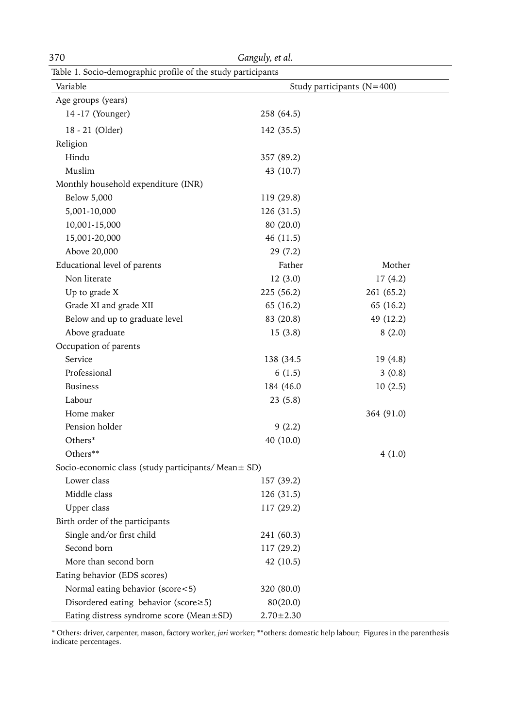| 370                                                          | Ganguly, et al. |                            |
|--------------------------------------------------------------|-----------------|----------------------------|
| Table 1. Socio-demographic profile of the study participants |                 |                            |
| Variable                                                     |                 | Study participants (N=400) |
| Age groups (years)                                           |                 |                            |
| 14 -17 (Younger)                                             | 258 (64.5)      |                            |
| 18 - 21 (Older)                                              | 142 (35.5)      |                            |
| Religion                                                     |                 |                            |
| Hindu                                                        | 357 (89.2)      |                            |
| Muslim                                                       | 43 (10.7)       |                            |
| Monthly household expenditure (INR)                          |                 |                            |
| Below 5,000                                                  | 119 (29.8)      |                            |
| 5,001-10,000                                                 | 126 (31.5)      |                            |
| 10,001-15,000                                                | 80 (20.0)       |                            |
| 15,001-20,000                                                | 46 (11.5)       |                            |
| Above 20,000                                                 | 29(7.2)         |                            |
| Educational level of parents                                 | Father          | Mother                     |
| Non literate                                                 | 12(3.0)         | 17(4.2)                    |
| Up to grade X                                                | 225(56.2)       | 261 (65.2)                 |
| Grade XI and grade XII                                       | 65 (16.2)       | 65 (16.2)                  |
| Below and up to graduate level                               | 83 (20.8)       | 49 (12.2)                  |
| Above graduate                                               | 15(3.8)         | 8(2.0)                     |
| Occupation of parents                                        |                 |                            |
| Service                                                      | 138 (34.5)      | 19(4.8)                    |
| Professional                                                 | 6(1.5)          | 3(0.8)                     |
| <b>Business</b>                                              | 184 (46.0       | 10(2.5)                    |
| Labour                                                       | 23(5.8)         |                            |
| Home maker                                                   |                 | 364 (91.0)                 |
| Pension holder                                               | 9(2.2)          |                            |
| Others*                                                      | 40 (10.0)       |                            |
| Others**                                                     |                 | 4(1.0)                     |
| Socio-economic class (study participants/ Mean ± SD)         |                 |                            |
| Lower class                                                  | 157 (39.2)      |                            |
| Middle class                                                 | 126 (31.5)      |                            |
| Upper class                                                  | 117 (29.2)      |                            |
| Birth order of the participants                              |                 |                            |
| Single and/or first child                                    | 241 (60.3)      |                            |
| Second born                                                  | 117 (29.2)      |                            |
| More than second born                                        | 42 (10.5)       |                            |
| Eating behavior (EDS scores)                                 |                 |                            |
| Normal eating behavior (score<5)                             | 320 (80.0)      |                            |
| Disordered eating behavior (score $\geq$ 5)                  | 80(20.0)        |                            |
| Eating distress syndrome score (Mean±SD)                     | $2.70 \pm 2.30$ |                            |

\* Others: driver, carpenter, mason, factory worker, *jari* worker; \*\*others: domestic help labour; Figures in the parenthesis indicate percentages.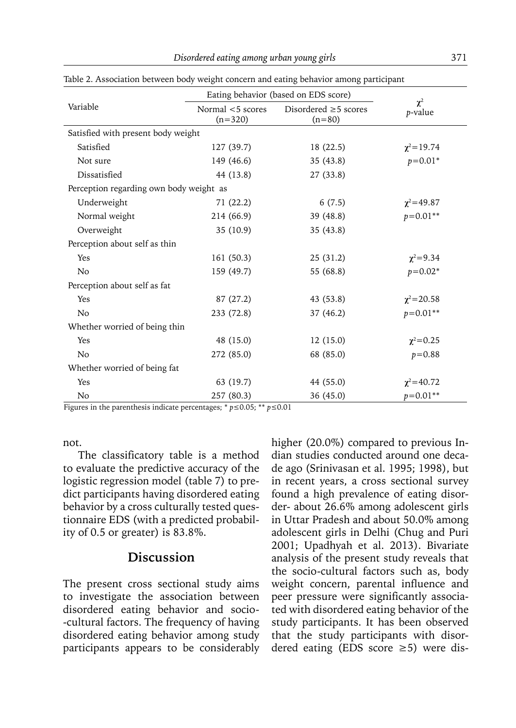|                                         | Eating behavior (based on EDS score) | $\chi^2$                               |                  |  |  |
|-----------------------------------------|--------------------------------------|----------------------------------------|------------------|--|--|
| Variable                                | Normal <5 scores<br>$(n=320)$        | Disordered $\geq$ 5 scores<br>$(n=80)$ | p-value          |  |  |
| Satisfied with present body weight      |                                      |                                        |                  |  |  |
| Satisfied                               | 127(39.7)                            | 18(22.5)                               | $\chi^2$ = 19.74 |  |  |
| Not sure                                | 149 (46.6)                           | 35(43.8)                               | $p=0.01*$        |  |  |
| Dissatisfied                            | 44 (13.8)                            | 27(33.8)                               |                  |  |  |
| Perception regarding own body weight as |                                      |                                        |                  |  |  |
| Underweight                             | 71 (22.2)                            | 6(7.5)                                 | $\chi^2$ = 49.87 |  |  |
| Normal weight                           | 214 (66.9)                           | 39 (48.8)                              | $p=0.01**$       |  |  |
| Overweight                              | 35 (10.9)                            | 35(43.8)                               |                  |  |  |
| Perception about self as thin           |                                      |                                        |                  |  |  |
| Yes                                     | 161(50.3)                            | 25(31.2)                               | $\chi^2 = 9.34$  |  |  |
| N <sub>o</sub>                          | 159 (49.7)                           | 55 (68.8)                              | $p=0.02*$        |  |  |
| Perception about self as fat            |                                      |                                        |                  |  |  |
| Yes                                     | 87 (27.2)                            | 43(53.8)                               | $\chi^2$ = 20.58 |  |  |
| N <sub>o</sub>                          | 233 (72.8)                           | 37 (46.2)                              | $p=0.01**$       |  |  |
| Whether worried of being thin           |                                      |                                        |                  |  |  |
| Yes                                     | 48 (15.0)                            | 12(15.0)                               | $\chi^2 = 0.25$  |  |  |
| N <sub>o</sub>                          | 272 (85.0)                           | 68 (85.0)                              | $p = 0.88$       |  |  |
| Whether worried of being fat            |                                      |                                        |                  |  |  |
| Yes                                     | 63 (19.7)                            | 44 (55.0)                              | $\chi^2$ = 40.72 |  |  |
| N <sub>o</sub>                          | 257 (80.3)                           | 36 (45.0)                              | $p=0.01**$       |  |  |

Table 2. Association between body weight concern and eating behavior among participant

Figures in the parenthesis indicate percentages; \* *p*≤0.05; \*\* *p*≤0.01

not.

The classificatory table is a method to evaluate the predictive accuracy of the logistic regression model (table 7) to predict participants having disordered eating behavior by a cross culturally tested questionnaire EDS (with a predicted probability of 0.5 or greater) is 83.8%.

### **Discussion**

The present cross sectional study aims to investigate the association between disordered eating behavior and socio- -cultural factors. The frequency of having disordered eating behavior among study participants appears to be considerably higher (20.0%) compared to previous Indian studies conducted around one decade ago (Srinivasan et al. 1995; 1998), but in recent years, a cross sectional survey found a high prevalence of eating disorder- about 26.6% among adolescent girls in Uttar Pradesh and about 50.0% among adolescent girls in Delhi (Chug and Puri 2001; Upadhyah et al. 2013). Bivariate analysis of the present study reveals that the socio-cultural factors such as, body weight concern, parental influence and peer pressure were significantly associated with disordered eating behavior of the study participants. It has been observed that the study participants with disordered eating (EDS score ≥5) were dis-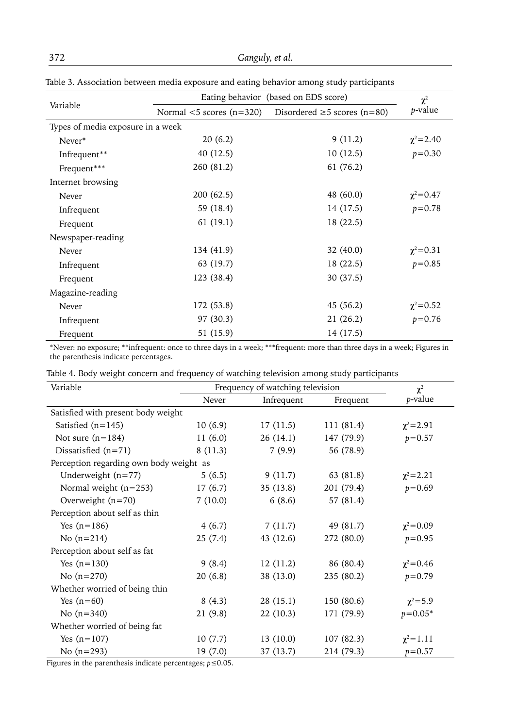| nasie of Hooochanon between meana exposure and earnig behavior among staay participants |                                      |                                                                  |                 |  |
|-----------------------------------------------------------------------------------------|--------------------------------------|------------------------------------------------------------------|-----------------|--|
|                                                                                         | Eating behavior (based on EDS score) | $\chi^2$                                                         |                 |  |
| Variable                                                                                |                                      | Normal $\leq$ 5 scores (n=320) Disordered $\geq$ 5 scores (n=80) | p-value         |  |
| Types of media exposure in a week                                                       |                                      |                                                                  |                 |  |
| Never*                                                                                  | 20(6.2)                              | 9(11.2)                                                          | $\chi^2$ = 2.40 |  |
| Infrequent**                                                                            | 40 (12.5)                            | 10(12.5)                                                         | $p = 0.30$      |  |
| Frequent***                                                                             | 260 (81.2)                           | 61 (76.2)                                                        |                 |  |
| Internet browsing                                                                       |                                      |                                                                  |                 |  |
| Never                                                                                   | 200 (62.5)                           | 48 (60.0)                                                        | $\chi^2$ = 0.47 |  |
| Infrequent                                                                              | 59 (18.4)                            | 14 (17.5)                                                        | $p = 0.78$      |  |
| Frequent                                                                                | 61(19.1)                             | 18 (22.5)                                                        |                 |  |
| Newspaper-reading                                                                       |                                      |                                                                  |                 |  |
| Never                                                                                   | 134 (41.9)                           | 32(40.0)                                                         | $\chi^2 = 0.31$ |  |
| Infrequent                                                                              | 63 (19.7)                            | 18 (22.5)                                                        | $p = 0.85$      |  |
| Frequent                                                                                | 123 (38.4)                           | 30(37.5)                                                         |                 |  |
| Magazine-reading                                                                        |                                      |                                                                  |                 |  |
| Never                                                                                   | 172 (53.8)                           | 45 (56.2)                                                        | $\chi^2 = 0.52$ |  |
| Infrequent                                                                              | 97 (30.3)                            | 21(26.2)                                                         | $p = 0.76$      |  |
| Frequent                                                                                | 51 (15.9)                            | 14 (17.5)                                                        |                 |  |

Table 3. Association between media exposure and eating behavior among study participants

\*Never: no exposure; \*\*infrequent: once to three days in a week; \*\*\*frequent: more than three days in a week; Figures in the parenthesis indicate percentages.

| Table 4. Body weight concern and frequency of watching television among study participants |
|--------------------------------------------------------------------------------------------|
|                                                                                            |
|                                                                                            |
|                                                                                            |

| Variable                                | Frequency of watching television |            |            | $\chi^2$        |  |
|-----------------------------------------|----------------------------------|------------|------------|-----------------|--|
|                                         | Never                            | Infrequent | Frequent   | p-value         |  |
| Satisfied with present body weight      |                                  |            |            |                 |  |
| Satisfied $(n=145)$                     | 10(6.9)                          | 17(11.5)   | 111 (81.4) | $\chi^2$ = 2.91 |  |
| Not sure $(n=184)$                      | 11(6.0)                          | 26(14.1)   | 147 (79.9) | $p = 0.57$      |  |
| Dissatisfied $(n=71)$                   | 8(11.3)                          | 7(9.9)     | 56 (78.9)  |                 |  |
| Perception regarding own body weight as |                                  |            |            |                 |  |
| Underweight $(n=77)$                    | 5(6.5)                           | 9(11.7)    | 63 (81.8)  | $\chi^2$ = 2.21 |  |
| Normal weight $(n=253)$                 | 17(6.7)                          | 35(13.8)   | 201 (79.4) | $p = 0.69$      |  |
| Overweight $(n=70)$                     | 7(10.0)                          | 6(8.6)     | 57 (81.4)  |                 |  |
| Perception about self as thin           |                                  |            |            |                 |  |
| Yes $(n=186)$                           | 4(6.7)                           | 7(11.7)    | 49 (81.7)  | $\chi^2$ = 0.09 |  |
| No $(n=214)$                            | 25(7.4)                          | 43 (12.6)  | 272 (80.0) | $p = 0.95$      |  |
| Perception about self as fat            |                                  |            |            |                 |  |
| Yes $(n=130)$                           | 9(8.4)                           | 12(11.2)   | 86 (80.4)  | $\chi^2$ = 0.46 |  |
| No $(n=270)$                            | 20(6.8)                          | 38 (13.0)  | 235 (80.2) | $p = 0.79$      |  |
| Whether worried of being thin           |                                  |            |            |                 |  |
| Yes $(n=60)$                            | 8(4.3)                           | 28(15.1)   | 150(80.6)  | $\chi^2 = 5.9$  |  |
| No $(n=340)$                            | 21 (9.8)                         | 22(10.3)   | 171 (79.9) | $p = 0.05*$     |  |
| Whether worried of being fat            |                                  |            |            |                 |  |
| Yes $(n=107)$                           | 10(7.7)                          | 13(10.0)   | 107(82.3)  | $\chi^2 = 1.11$ |  |
| No $(n=293)$                            | 19 (7.0)                         | 37 (13.7)  | 214 (79.3) | $p = 0.57$      |  |

Figures in the parenthesis indicate percentages; *p*≤0.05.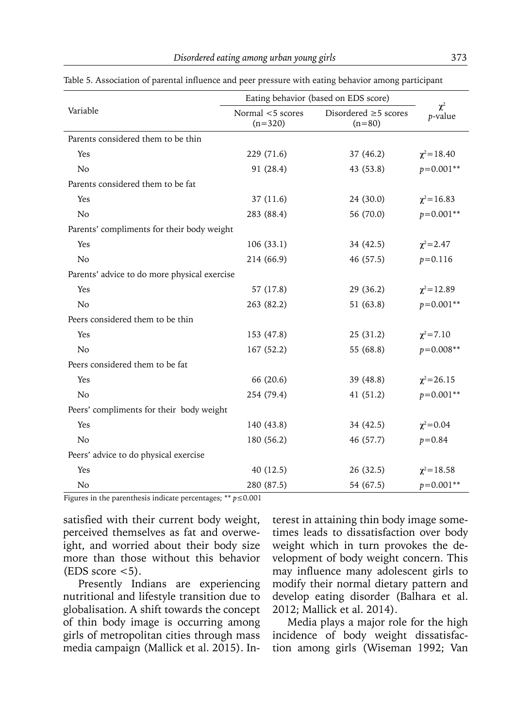|                                              | Eating behavior (based on EDS score) |                                        |                     |  |  |
|----------------------------------------------|--------------------------------------|----------------------------------------|---------------------|--|--|
| Variable                                     | Normal <5 scores<br>$(n=320)$        | Disordered $\geq$ 5 scores<br>$(n=80)$ | $\chi^2$<br>p-value |  |  |
| Parents considered them to be thin           |                                      |                                        |                     |  |  |
| Yes                                          | 229 (71.6)                           | 37 (46.2)                              | $\chi^2$ = 18.40    |  |  |
| No                                           | 91 (28.4)                            | 43 (53.8)                              | $p=0.001**$         |  |  |
| Parents considered them to be fat            |                                      |                                        |                     |  |  |
| Yes                                          | 37(11.6)                             | 24 (30.0)                              | $\chi^2$ = 16.83    |  |  |
| N <sub>o</sub>                               | 283 (88.4)                           | 56 (70.0)                              | $p=0.001**$         |  |  |
| Parents' compliments for their body weight   |                                      |                                        |                     |  |  |
| Yes                                          | 106(33.1)                            | 34 (42.5)                              | $\chi^2$ = 2.47     |  |  |
| N <sub>o</sub>                               | 214 (66.9)                           | 46 (57.5)                              | $p = 0.116$         |  |  |
| Parents' advice to do more physical exercise |                                      |                                        |                     |  |  |
| Yes                                          | 57 (17.8)                            | 29(36.2)                               | $\chi^2$ = 12.89    |  |  |
| No                                           | 263 (82.2)                           | 51 (63.8)                              | $p=0.001**$         |  |  |
| Peers considered them to be thin             |                                      |                                        |                     |  |  |
| Yes                                          | 153 (47.8)                           | 25(31.2)                               | $\chi^2 = 7.10$     |  |  |
| N <sub>0</sub>                               | 167(52.2)                            | 55 (68.8)                              | $p=0.008**$         |  |  |
| Peers considered them to be fat              |                                      |                                        |                     |  |  |
| Yes                                          | 66 (20.6)                            | 39 (48.8)                              | $\chi^2$ =26.15     |  |  |
| N <sub>o</sub>                               | 254 (79.4)                           | 41(51.2)                               | $p=0.001**$         |  |  |
| Peers' compliments for their body weight     |                                      |                                        |                     |  |  |
| Yes                                          | 140 (43.8)                           | 34 (42.5)                              | $\chi^2 = 0.04$     |  |  |
| N <sub>o</sub>                               | 180 (56.2)                           | 46 (57.7)                              | $p = 0.84$          |  |  |
| Peers' advice to do physical exercise        |                                      |                                        |                     |  |  |
| Yes                                          | 40 (12.5)                            | 26(32.5)                               | $\chi^2 = 18.58$    |  |  |
| No                                           | 280 (87.5)                           | 54 (67.5)                              | $p=0.001**$         |  |  |

Table 5. Association of parental influence and peer pressure with eating behavior among participant

Figures in the parenthesis indicate percentages; \*\* *p*≤0.001

satisfied with their current body weight, perceived themselves as fat and overweight, and worried about their body size more than those without this behavior  $(EDS score < 5)$ .

Presently Indians are experiencing nutritional and lifestyle transition due to globalisation. A shift towards the concept of thin body image is occurring among girls of metropolitan cities through mass media campaign (Mallick et al. 2015). Interest in attaining thin body image sometimes leads to dissatisfaction over body weight which in turn provokes the development of body weight concern. This may influence many adolescent girls to modify their normal dietary pattern and develop eating disorder (Balhara et al. 2012; Mallick et al. 2014).

Media plays a major role for the high incidence of body weight dissatisfaction among girls (Wiseman 1992; Van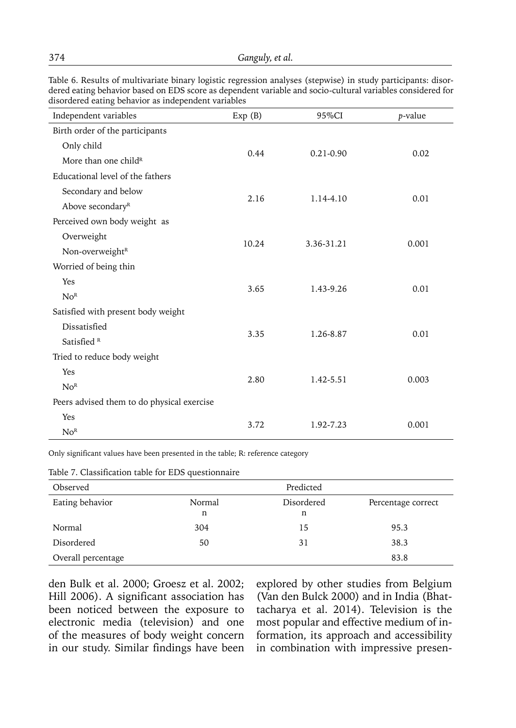| Independent variables                      | Exp(B) | 95%CI         | p-value |  |
|--------------------------------------------|--------|---------------|---------|--|
| Birth order of the participants            |        |               |         |  |
| Only child                                 | 0.44   | $0.21 - 0.90$ | 0.02    |  |
| More than one child <sup>R</sup>           |        |               |         |  |
| Educational level of the fathers           |        |               |         |  |
| Secondary and below                        |        |               |         |  |
| Above secondary <sup>R</sup>               | 2.16   | 1.14-4.10     | 0.01    |  |
| Perceived own body weight as               |        |               |         |  |
| Overweight                                 |        |               |         |  |
| Non-overweight <sup>R</sup>                | 10.24  | 3.36-31.21    | 0.001   |  |
| Worried of being thin                      |        |               |         |  |
| Yes                                        | 3.65   | 1.43-9.26     | 0.01    |  |
| No <sup>R</sup>                            |        |               |         |  |
| Satisfied with present body weight         |        |               |         |  |
| Dissatisfied                               |        |               |         |  |
| Satisfied <sup>R</sup>                     | 3.35   | 1.26-8.87     | 0.01    |  |
| Tried to reduce body weight                |        |               |         |  |
| Yes                                        |        |               |         |  |
| No <sup>R</sup>                            | 2.80   | 1.42-5.51     | 0.003   |  |
| Peers advised them to do physical exercise |        |               |         |  |
| Yes                                        |        |               |         |  |
| No <sup>R</sup>                            | 3.72   | 1.92-7.23     | 0.001   |  |

Table 6. Results of multivariate binary logistic regression analyses (stepwise) in study participants: disordered eating behavior based on EDS score as dependent variable and socio-cultural variables considered for disordered eating behavior as independent variables

Only significant values have been presented in the table; R: reference category

| Observed           |        | Predicted  |                    |  |
|--------------------|--------|------------|--------------------|--|
| Eating behavior    | Normal | Disordered | Percentage correct |  |
|                    | n      | n          |                    |  |
| Normal             | 304    | 15         | 95.3               |  |
| Disordered         | 50     | 31         | 38.3               |  |
| Overall percentage |        |            | 83.8               |  |

Table 7. Classification table for EDS questionnaire

den Bulk et al. 2000; Groesz et al. 2002; Hill 2006). A significant association has been noticed between the exposure to electronic media (television) and one of the measures of body weight concern in our study. Similar findings have been

explored by other studies from Belgium (Van den Bulck 2000) and in India (Bhattacharya et al. 2014). Television is the most popular and effective medium of information, its approach and accessibility in combination with impressive presen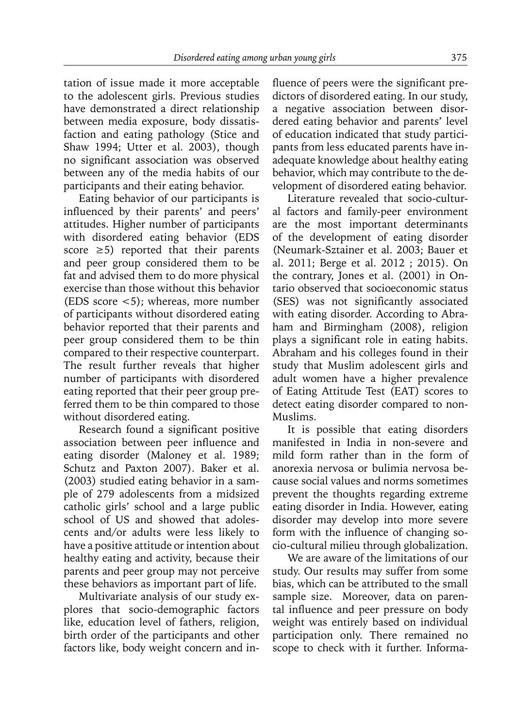tation of issue made it more acceptable to the adolescent girls. Previous studies have demonstrated a direct relationship between media exposure, body dissatisfaction and eating pathology (Stice and Shaw 1994; Utter et al. 2003), though no significant association was observed between any of the media habits of our participants and their eating behavior.

Eating behavior of our participants is influenced by their parents' and peers' attitudes. Higher number of participants with disordered eating behavior (EDS score  $\geq$ 5) reported that their parents and peer group considered them to be fat and advised them to do more physical exercise than those without this behavior (EDS score <5); whereas, more number of participants without disordered eating behavior reported that their parents and peer group considered them to be thin compared to their respective counterpart. The result further reveals that higher number of participants with disordered eating reported that their peer group preferred them to be thin compared to those without disordered eating.

Research found a significant positive association between peer influence and eating disorder (Maloney et al. 1989; Schutz and Paxton 2007). Baker et al. (2003) studied eating behavior in a sample of 279 adolescents from a midsized catholic girls' school and a large public school of US and showed that adolescents and/or adults were less likely to have a positive attitude or intention about healthy eating and activity, because their parents and peer group may not perceive these behaviors as important part of life.

Multivariate analysis of our study explores that socio-demographic factors like, education level of fathers, religion, birth order of the participants and other factors like, body weight concern and influence of peers were the significant predictors of disordered eating. In our study, a negative association between disordered eating behavior and parents' level of education indicated that study participants from less educated parents have inadequate knowledge about healthy eating behavior, which may contribute to the development of disordered eating behavior.

Literature revealed that socio-cultural factors and family-peer environment are the most important determinants of the development of eating disorder (Neumark-Sztainer et al. 2003; Bauer et al. 2011; Berge et al. 2012 ; 2015). On the contrary, Jones et al. (2001) in Ontario observed that socioeconomic status (SES) was not significantly associated with eating disorder. According to Abraham and Birmingham (2008), religion plays a significant role in eating habits. Abraham and his colleges found in their study that Muslim adolescent girls and adult women have a higher prevalence of Eating Attitude Test (EAT) scores to detect eating disorder compared to non-Muslims.

It is possible that eating disorders manifested in India in non-severe and mild form rather than in the form of anorexia nervosa or bulimia nervosa because social values and norms sometimes prevent the thoughts regarding extreme eating disorder in India. However, eating disorder may develop into more severe form with the influence of changing socio-cultural milieu through globalization.

We are aware of the limitations of our study. Our results may suffer from some bias, which can be attributed to the small sample size. Moreover, data on parental influence and peer pressure on body weight was entirely based on individual participation only. There remained no scope to check with it further. Informa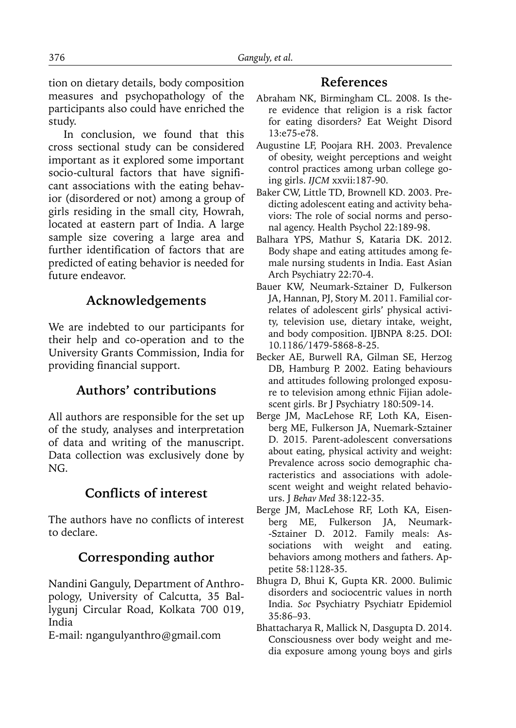tion on dietary details, body composition measures and psychopathology of the participants also could have enriched the study.

In conclusion, we found that this cross sectional study can be considered important as it explored some important socio-cultural factors that have significant associations with the eating behavior (disordered or not) among a group of girls residing in the small city, Howrah, located at eastern part of India. A large sample size covering a large area and further identification of factors that are predicted of eating behavior is needed for future endeavor.

# **Acknowledgements**

We are indebted to our participants for their help and co-operation and to the University Grants Commission, India for providing financial support.

# **Authors' contributions**

All authors are responsible for the set up of the study, analyses and interpretation of data and writing of the manuscript. Data collection was exclusively done by NG.

# **Conflicts of interest**

The authors have no conflicts of interest to declare.

# **Corresponding author**

Nandini Ganguly, Department of Anthropology, University of Calcutta, 35 Ballygunj Circular Road, Kolkata 700 019, India

E-mail: ngangulyanthro@gmail.com

## **References**

- Abraham NK, Birmingham CL. 2008. Is there evidence that religion is a risk factor for eating disorders? Eat Weight Disord 13:e75-e78.
- Augustine LF, Poojara RH. 2003. Prevalence of obesity, weight perceptions and weight control practices among urban college going girls. *IJCM* xxvii:187-90.
- Baker CW, Little TD, Brownell KD. 2003. Predicting adolescent eating and activity behaviors: The role of social norms and personal agency. Health Psychol 22:189-98.
- Balhara YPS, Mathur S, Kataria DK. 2012. Body shape and eating attitudes among female nursing students in India. East Asian Arch Psychiatry 22:70-4.
- Bauer KW, Neumark-Sztainer D, Fulkerson JA, Hannan, PJ, Story M. 2011. Familial correlates of adolescent girls' physical activity, television use, dietary intake, weight, and body composition. IJBNPA 8:25. DOI: 10.1186/1479-5868-8-25.
- Becker AE, Burwell RA, Gilman SE, Herzog DB, Hamburg P. 2002. Eating behaviours and attitudes following prolonged exposure to television among ethnic Fijian adolescent girls. Br J Psychiatry 180:509-14.
- Berge JM, MacLehose RF, Loth KA, Eisenberg ME, Fulkerson JA, Nuemark-Sztainer D. 2015. Parent-adolescent conversations about eating, physical activity and weight: Prevalence across socio demographic characteristics and associations with adolescent weight and weight related behaviours. J *Behav Med* 38:122-35.
- Berge JM, MacLehose RF, Loth KA, Eisenberg ME, Fulkerson JA, Neumark- -Sztainer D. 2012. Family meals: Associations with weight and eating. behaviors among mothers and fathers. Appetite 58:1128-35.
- Bhugra D, Bhui K, Gupta KR. 2000. Bulimic disorders and sociocentric values in north India. *Soc* Psychiatry Psychiatr Epidemiol 35:86–93.
- Bhattacharya R, Mallick N, Dasgupta D. 2014. Consciousness over body weight and media exposure among young boys and girls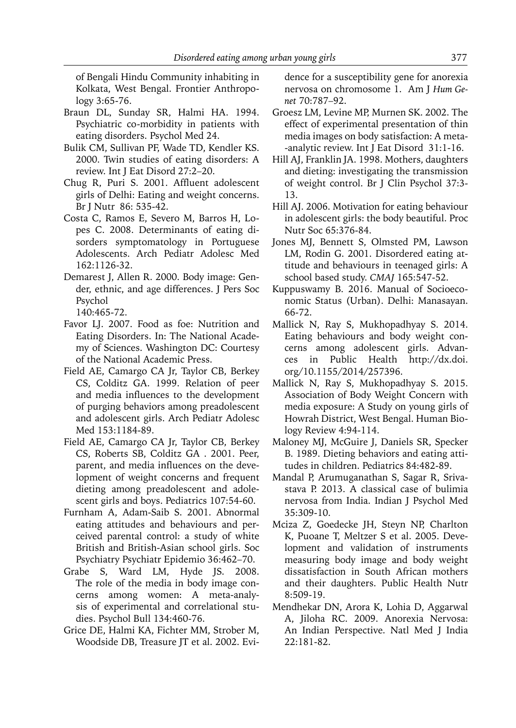of Bengali Hindu Community inhabiting in Kolkata, West Bengal. Frontier Anthropology 3:65-76.

- Braun DL, Sunday SR, Halmi HA. 1994. Psychiatric co-morbidity in patients with eating disorders. Psychol Med 24.
- Bulik CM, Sullivan PF, Wade TD, Kendler KS. 2000. Twin studies of eating disorders: A review. Int J Eat Disord 27:2–20.
- Chug R, Puri S. 2001. Affluent adolescent girls of Delhi: Eating and weight concerns. Br J Nutr 86: 535-42.
- Costa C, Ramos E, Severo M, Barros H, Lopes C. 2008. Determinants of eating disorders symptomatology in Portuguese Adolescents. Arch Pediatr Adolesc Med 162:1126-32.
- Demarest J, Allen R. 2000. Body image: Gender, ethnic, and age differences. J Pers Soc Psychol

140:465-72.

- Favor LJ. 2007. Food as foe: Nutrition and Eating Disorders. In: The National Academy of Sciences. Washington DC: Courtesy of the National Academic Press.
- Field AE, Camargo CA Jr, Taylor CB, Berkey CS, Colditz GA. 1999. Relation of peer and media influences to the development of purging behaviors among preadolescent and adolescent girls. Arch Pediatr Adolesc Med 153:1184-89.
- Field AE, Camargo CA Jr, Taylor CB, Berkey CS, Roberts SB, Colditz GA . 2001. Peer, parent, and media influences on the development of weight concerns and frequent dieting among preadolescent and adolescent girls and boys. Pediatrics 107:54-60.
- Furnham A, Adam-Saib S. 2001. Abnormal eating attitudes and behaviours and perceived parental control: a study of white British and British-Asian school girls. Soc Psychiatry Psychiatr Epidemio 36:462–70.
- Grabe S, Ward LM, Hyde JS. 2008. The role of the media in body image concerns among women: A meta-analysis of experimental and correlational studies. Psychol Bull 134:460-76.
- Grice DE, Halmi KA, Fichter MM, Strober M, Woodside DB, Treasure JT et al. 2002. Evi-

dence for a susceptibility gene for anorexia nervosa on chromosome 1. Am J *Hum Genet* 70:787–92.

- Groesz LM, Levine MP, Murnen SK. 2002. The effect of experimental presentation of thin media images on body satisfaction: A meta- -analytic review. Int J Eat Disord 31:1-16.
- Hill AJ, Franklin JA. 1998. Mothers, daughters and dieting: investigating the transmission of weight control. Br J Clin Psychol 37:3- 13.
- Hill AJ. 2006. Motivation for eating behaviour in adolescent girls: the body beautiful. Proc Nutr Soc 65:376-84.
- Jones MJ, Bennett S, Olmsted PM, Lawson LM, Rodin G. 2001. Disordered eating attitude and behaviours in teenaged girls: A school based study. *CMAJ* 165:547-52.
- Kuppuswamy B. 2016. Manual of Socioeconomic Status (Urban). Delhi: Manasayan. 66-72.
- Mallick N, Ray S, Mukhopadhyay S. 2014. Eating behaviours and body weight concerns among adolescent girls. Advances in Public Health http://dx.doi. org/10.1155/2014/257396.
- Mallick N, Ray S, Mukhopadhyay S. 2015. Association of Body Weight Concern with media exposure: A Study on young girls of Howrah District, West Bengal. Human Biology Review 4:94-114.
- Maloney MJ, McGuire J, Daniels SR, Specker B. 1989. Dieting behaviors and eating attitudes in children. Pediatrics 84:482-89.
- Mandal P, Arumuganathan S, Sagar R, Srivastava P. 2013. A classical case of bulimia nervosa from India. Indian J Psychol Med 35:309-10.
- Mciza Z, Goedecke JH, Steyn NP, Charlton K, Puoane T, Meltzer S et al. 2005. Development and validation of instruments measuring body image and body weight dissatisfaction in South African mothers and their daughters. Public Health Nutr 8:509-19.
- Mendhekar DN, Arora K, Lohia D, Aggarwal A, Jiloha RC. 2009. Anorexia Nervosa: An Indian Perspective. Natl Med J India 22:181-82.